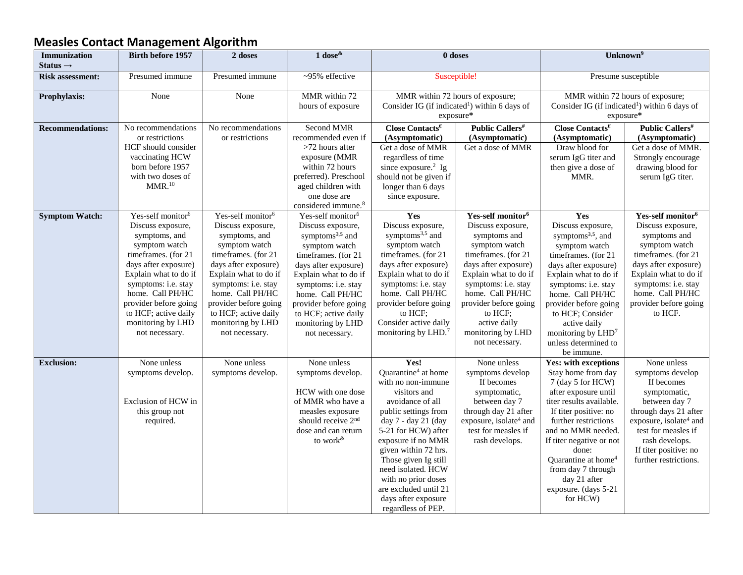## **Measles Contact Management Algorithm**

| <b>Immunization</b>     | <b>Birth before 1957</b>      | 2 doses                       | 1 dose $\&$                                     | 0 doses                                                   |                                    | Unknown <sup>9</sup>                                      |                                    |
|-------------------------|-------------------------------|-------------------------------|-------------------------------------------------|-----------------------------------------------------------|------------------------------------|-----------------------------------------------------------|------------------------------------|
| Status $\rightarrow$    |                               |                               |                                                 |                                                           |                                    |                                                           |                                    |
| <b>Risk assessment:</b> | Presumed immune               | Presumed immune               | ~95% effective                                  | Susceptible!                                              |                                    | Presume susceptible                                       |                                    |
| Prophylaxis:            | None                          | None                          | MMR within 72                                   | MMR within 72 hours of exposure;                          |                                    | MMR within 72 hours of exposure;                          |                                    |
|                         |                               |                               | hours of exposure                               | Consider IG (if indicated <sup>1</sup> ) within 6 days of |                                    | Consider IG (if indicated <sup>1</sup> ) within 6 days of |                                    |
|                         |                               |                               |                                                 | exposure*                                                 |                                    | exposure*                                                 |                                    |
| <b>Recommendations:</b> | No recommendations            | No recommendations            | Second MMR                                      | Close Contacts <sup><math>\epsilon</math></sup>           | <b>Public Callers#</b>             | Close Contacts $\epsilon$                                 | <b>Public Callers#</b>             |
|                         | or restrictions               | or restrictions               | recommended even if                             | (Asymptomatic)                                            | (Asymptomatic)                     | (Asymptomatic)                                            | (Asymptomatic)                     |
|                         | HCF should consider           |                               | >72 hours after                                 | Get a dose of MMR                                         | Get a dose of MMR                  | Draw blood for                                            | Get a dose of MMR.                 |
|                         | vaccinating HCW               |                               | exposure (MMR                                   | regardless of time                                        |                                    | serum IgG titer and                                       | Strongly encourage                 |
|                         | born before 1957              |                               | within 72 hours                                 | since exposure. <sup>2</sup> Ig                           |                                    | then give a dose of                                       | drawing blood for                  |
|                         | with two doses of             |                               | preferred). Preschool                           | should not be given if                                    |                                    | MMR.                                                      | serum IgG titer.                   |
|                         | MMR. <sup>10</sup>            |                               | aged children with                              | longer than 6 days                                        |                                    |                                                           |                                    |
|                         |                               |                               | one dose are<br>considered immune. <sup>8</sup> | since exposure.                                           |                                    |                                                           |                                    |
| <b>Symptom Watch:</b>   | Yes-self monitor <sup>6</sup> | Yes-self monitor <sup>6</sup> | Yes-self monitor <sup>6</sup>                   | Yes                                                       | Yes-self monitor <sup>6</sup>      | Yes                                                       | Yes-self monitor <sup>6</sup>      |
|                         | Discuss exposure,             | Discuss exposure,             | Discuss exposure,                               | Discuss exposure,                                         | Discuss exposure,                  | Discuss exposure,                                         | Discuss exposure,                  |
|                         | symptoms, and                 | symptoms, and                 | symptoms <sup>3,5</sup> and                     | symptoms $3,5$ and                                        | symptoms and                       | symptoms <sup>3,5</sup> , and                             | symptoms and                       |
|                         | symptom watch                 | symptom watch                 | symptom watch                                   | symptom watch                                             | symptom watch                      | symptom watch                                             | symptom watch                      |
|                         | timeframes. (for 21           | timeframes. (for 21           | timeframes. (for 21                             | timeframes. (for 21                                       | timeframes. (for 21                | timeframes. (for 21                                       | timeframes. (for 21                |
|                         | days after exposure)          | days after exposure)          | days after exposure)                            | days after exposure)                                      | days after exposure)               | days after exposure)                                      | days after exposure)               |
|                         | Explain what to do if         | Explain what to do if         | Explain what to do if                           | Explain what to do if                                     | Explain what to do if              | Explain what to do if                                     | Explain what to do if              |
|                         | symptoms: i.e. stay           | symptoms: i.e. stay           | symptoms: i.e. stay                             | symptoms: i.e. stay                                       | symptoms: i.e. stay                | symptoms: i.e. stay                                       | symptoms: i.e. stay                |
|                         | home. Call PH/HC              | home. Call PH/HC              | home. Call PH/HC                                | home. Call PH/HC                                          | home. Call PH/HC                   | home. Call PH/HC                                          | home. Call PH/HC                   |
|                         | provider before going         | provider before going         | provider before going                           | provider before going                                     | provider before going              | provider before going                                     | provider before going              |
|                         | to HCF; active daily          | to HCF; active daily          | to HCF; active daily                            | to HCF:                                                   | to HCF:                            | to HCF; Consider                                          | to HCF.                            |
|                         | monitoring by LHD             | monitoring by LHD             | monitoring by LHD                               | Consider active daily                                     | active daily                       | active daily                                              |                                    |
|                         | not necessary.                | not necessary.                | not necessary.                                  | monitoring by LHD. <sup>7</sup>                           | monitoring by LHD                  | monitoring by $LHD^7$                                     |                                    |
|                         |                               |                               |                                                 |                                                           | not necessary.                     | unless determined to                                      |                                    |
|                         |                               |                               |                                                 |                                                           |                                    | be immune.                                                |                                    |
| <b>Exclusion:</b>       | None unless                   | None unless                   | None unless                                     | Yes!                                                      | None unless                        | <b>Yes: with exceptions</b>                               | None unless                        |
|                         | symptoms develop.             | symptoms develop.             | symptoms develop.                               | Quarantine <sup>4</sup> at home<br>with no non-immune     | symptoms develop<br>If becomes     | Stay home from day<br>7 (day 5 for HCW)                   | symptoms develop<br>If becomes     |
|                         |                               |                               | HCW with one dose                               | visitors and                                              | symptomatic,                       | after exposure until                                      | symptomatic,                       |
|                         | Exclusion of HCW in           |                               | of MMR who have a                               | avoidance of all                                          | between day 7                      | titer results available.                                  | between day 7                      |
|                         | this group not                |                               | measles exposure                                | public settings from                                      | through day 21 after               | If titer positive: no                                     | through days 21 after              |
|                         | required.                     |                               | should receive $2nd$                            | day 7 - day 21 (day                                       | exposure, isolate <sup>4</sup> and | further restrictions                                      | exposure, isolate <sup>4</sup> and |
|                         |                               |                               | dose and can return                             | 5-21 for HCW) after                                       | test for measles if                | and no MMR needed.                                        | test for measles if                |
|                         |                               |                               | to work $\&$                                    | exposure if no MMR                                        | rash develops.                     | If titer negative or not                                  | rash develops.                     |
|                         |                               |                               |                                                 | given within 72 hrs.                                      |                                    | done:                                                     | If titer positive: no              |
|                         |                               |                               |                                                 | Those given Ig still                                      |                                    | Quarantine at home <sup>4</sup>                           | further restrictions.              |
|                         |                               |                               |                                                 | need isolated. HCW                                        |                                    | from day 7 through                                        |                                    |
|                         |                               |                               |                                                 | with no prior doses                                       |                                    | day 21 after                                              |                                    |
|                         |                               |                               |                                                 | are excluded until 21                                     |                                    | exposure. (days 5-21                                      |                                    |
|                         |                               |                               |                                                 | days after exposure                                       |                                    | for HCW)                                                  |                                    |
|                         |                               |                               |                                                 | regardless of PEP.                                        |                                    |                                                           |                                    |